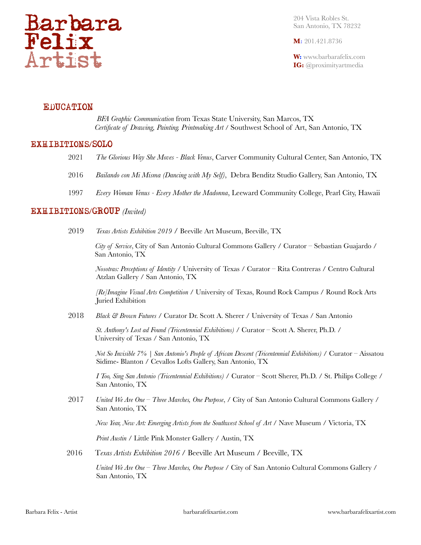

204 Vista Robles St. San Antonio, TX 78232

**M:** 201.421.8736

**W:** www.barbarafelix.com **IG:** @proximityartmedia

# **EDUCATION**

 *BFA Graphic Communication* from Texas State University, San Marcos, TX *Certificate of Drawing, Painting. Printmaking Art* / Southwest School of Art, San Antonio, TX

### EXHIBITIONS/SOLO

- 2021 *The Glorious Way She Moves Black Venus*, Carver Community Cultural Center, San Antonio, TX
- 2016 *Bailando con Mi Misma (Dancing with My Self)*, Debra Benditz Studio Gallery, San Antonio, TX
- 1997 *Every Woman Venus Every Mother the Madonna*, Leeward Community College, Pearl City, Hawaii

### EXHIBITIONS/GROUP *(Invited)*

2019 *Texas Artists Exhibition 2019* / Beeville Art Museum, Beeville, TX

*City of Service*, City of San Antonio Cultural Commons Gallery / Curator *–* Sebastian Guajardo / San Antonio, TX

*Nosotras: Perceptions of Identity* / University of Texas / Curator *–* Rita Contreras / Centro Cultural Atzlan Gallery / San Antonio, TX

*[Re]Imagine Visual Arts Competition* / University of Texas, Round Rock Campus / Round Rock Arts Juried Exhibition

2018 *Black & Brown Futures* / Curator Dr. Scott A. Sherer / University of Texas / San Antonio

 *St. Anthony's Lost ad Found (Tricentennial Exhibitions)* / Curator *–* Scott A. Sherer, Ph.D. / University of Texas / San Antonio, TX

*Not So Invisible 7% | San Antonio's People of African Descent (Tricentennial Exhibitions)* / Curator *–* Aissatou Sidime- Blanton / Cevallos Lofts Gallery, San Antonio, TX

*I Too, Sing San Antonio (Tricentennial Exhibitions)* / Curator *–* Scott Sherer, Ph.D. / St. Philips College / San Antonio, TX

2017 *United We Are One – Three Marches, One Purpose*, / City of San Antonio Cultural Commons Gallery / San Antonio, TX

*New Year, New Art: Emerging Artists from the Southwest School of Art* / Nave Museum / Victoria, TX

*Print Austin* / Little Pink Monster Gallery / Austin, TX

2016 T*exas Artists Exhibition 2016* / Beeville Art Museum / Beeville, TX

*United We Are One – Three Marches, One Purpose* / City of San Antonio Cultural Commons Gallery / San Antonio, TX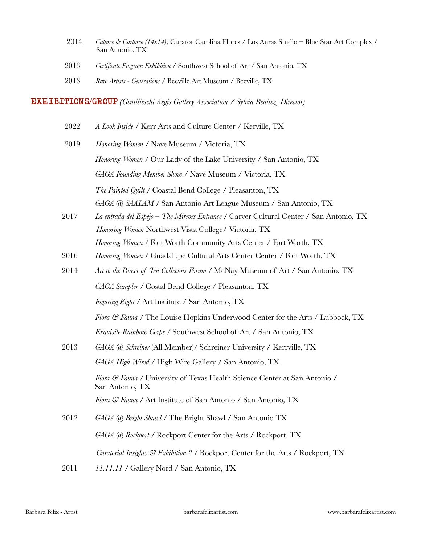- 2014 *Catorce de Cartorce (14x14)*, Curator Carolina Flores / Los Auras Studio Blue Star Art Complex / San Antonio, TX
- 2013 *Certificate Program Exhibition* / Southwest School of Art / San Antonio, TX
- 2013 *Raw Artists Generations* / Beeville Art Museum / Beeville, TX

EXHIBITIONS/GROUP *(Gentilieschi Aegis Gallery Association / Sylvia Benitez, Director)*

- 2022 *A Look Inside* / Kerr Arts and Culture Center / Kerville, TX
- 2019 *Honoring Women* / Nave Museum / Victoria, TX *Honoring Women* / Our Lady of the Lake University / San Antonio, TX *GAGA Founding Member Show* / Nave Museum / Victoria, TX *The Painted Quilt* / Coastal Bend College / Pleasanton, TX *GAGA @ SAALAM* / San Antonio Art League Museum / San Antonio, TX
- 2017 *La entrada del Espejo – The Mirrors Entrance* / Carver Cultural Center / San Antonio, TX *Honoring Women* Northwest Vista College/ Victoria, TX *Honoring Women* / Fort Worth Community Arts Center / Fort Worth, TX
- 2016 *Honoring Women* / Guadalupe Cultural Arts Center Center / Fort Worth, TX
- 2014 *Art to the Power of Ten Collectors Forum* / McNay Museum of Art / San Antonio, TX *GAGA Sampler* / Costal Bend College / Pleasanton, TX *Figuring Eight* / Art Institute / San Antonio, TX *Flora & Fauna* / The Louise Hopkins Underwood Center for the Arts / Lubbock, TX *Exquisite Rainbow Corps* / Southwest School of Art / San Antonio, TX 2013 *GAGA @ Schreiner* (All Member)/ Schreiner University / Kerrville, TX *GAGA High Wired* / High Wire Gallery / San Antonio, TX *Flora & Fauna* / University of Texas Health Science Center at San Antonio / San Antonio, TX *Flora & Fauna* / Art Institute of San Antonio / San Antonio, TX 2012 *GAGA @ Bright Shawl* / The Bright Shawl / San Antonio TX
	- *Curatorial Insights & Exhibition 2* / Rockport Center for the Arts / Rockport, TX

*GAGA @ Rockport* / Rockport Center for the Arts / Rockport, TX

2011 *11.11.11* / Gallery Nord / San Antonio, TX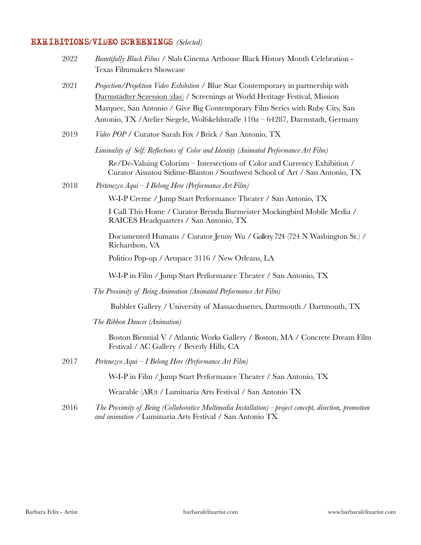# EXHIBITIONS/VIDEO SCREENINGS *(Selected)*

| 2022 | Beautifully Black Films / Slab Cinema Arthouse Black History Month Celebration -<br><b>Texas Filmmakers Showcase</b>                                                                                                                                                                                                                   |
|------|----------------------------------------------------------------------------------------------------------------------------------------------------------------------------------------------------------------------------------------------------------------------------------------------------------------------------------------|
| 2021 | Projection/Projektion Video Exhibition / Blue Star Contemporary in partnership with<br>Darmstädter Sezession (das) / Screenings at World Heritage Festival, Mission<br>Marquee, San Antonio / Give Big Contemporary Film Series with Ruby City, San<br>Antonio, TX / Atelier Siegele, Wolfskehlstraße 110a - 64287, Darmstadt, Germany |
| 2019 | Video POP / Curator Sarah Fox / Brick / San Antonio, TX                                                                                                                                                                                                                                                                                |
|      | Liminality of Self: Reflections of Color and Identity (Animated Performance Art Film)                                                                                                                                                                                                                                                  |
|      | Re/De-Valuing Colorism - Intersections of Color and Currency Exhibition /<br>Curator Aissatou Sidime-Blanton / Southwest School of Art / San Antonio, TX                                                                                                                                                                               |
| 2018 | Pertenezco Aqui – I Belong Here (Performance Art Film)                                                                                                                                                                                                                                                                                 |
|      | W-I-P Creme / Jump Start Performance Theater / San Antonio, TX                                                                                                                                                                                                                                                                         |
|      | I Call This Home / Curator Brenda Burmeister Mockingbird Mobile Media /<br>RAICES Headquarters / San Antonio, TX                                                                                                                                                                                                                       |
|      | Documented Humans / Curator Jenny Wu / Gallery 724 (724 N Washington St.) /<br>Richardson, VA                                                                                                                                                                                                                                          |
|      | Politico Pop-up / Artspace 3116 / New Orleans, LA                                                                                                                                                                                                                                                                                      |
|      | W-I-P in Film / Jump Start Performance Theater / San Antonio, TX                                                                                                                                                                                                                                                                       |
|      | The Proximity of Being Animation (Animated Performance Art Film)                                                                                                                                                                                                                                                                       |
|      | Bubbler Gallery / University of Massacdusettes, Dartmouth / Dartmouth, TX                                                                                                                                                                                                                                                              |
|      | The Ribbon Dancer (Animation)                                                                                                                                                                                                                                                                                                          |
|      | Boston Biennial V / Atlantic Works Gallery / Boston, MA / Concrete Dream Film<br>Festival / AC Gallery / Beverly Hills, CA                                                                                                                                                                                                             |
| 2017 | Pertenezco Aqui – I Belong Here (Performance Art Film)                                                                                                                                                                                                                                                                                 |
|      | W-I-P in Film / Jump Start Performance Theater / San Antonio, TX                                                                                                                                                                                                                                                                       |
|      | Wearable (AR)t / Luminaria Arts Festival / San Antonio TX                                                                                                                                                                                                                                                                              |
| 2016 | The Proximity of Being (Collaborative Multimedia Installation) - project concept, direction, promotion<br>and animation / Luminaria Arts Festival / San Antonio TX                                                                                                                                                                     |
|      |                                                                                                                                                                                                                                                                                                                                        |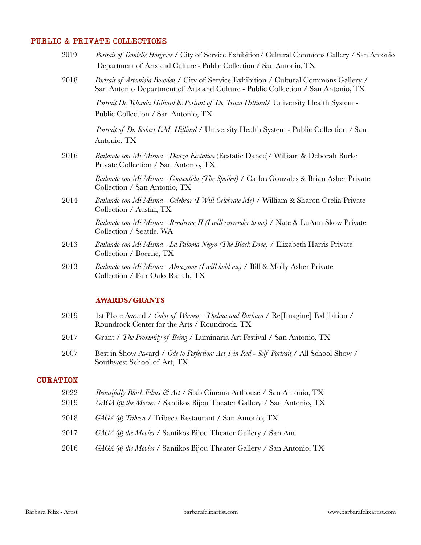# PUBLIC & PRIVATE COLLECTIONS

| 2019         | Portrait of Danielle Hargrove / City of Service Exhibition/ Cultural Commons Gallery / San Antonio<br>Department of Arts and Culture - Public Collection / San Antonio, TX |
|--------------|----------------------------------------------------------------------------------------------------------------------------------------------------------------------------|
| 2018         | Portrait of Artemisia Bowden / City of Service Exhibition / Cultural Commons Gallery /<br>San Antonio Department of Arts and Culture - Public Collection / San Antonio, TX |
|              | Portrait Dr. Yolanda Hilliard & Portrait of Dr. Tricia Hilliard/ University Health System -<br>Public Collection / San Antonio, TX                                         |
|              | Portrait of Dr. Robert L.M. Hilliard / University Health System - Public Collection / San<br>Antonio, TX                                                                   |
| 2016         | Bailando con Mi Misma - Danza Ecstatica (Ecstatic Dance)/ William & Deborah Burke<br>Private Collection / San Antonio, TX                                                  |
|              | Bailando con Mi Misma - Consentida (The Spoiled) / Carlos Gonzales & Brian Asher Private<br>Collection / San Antonio, TX                                                   |
| 2014         | Bailando con Mi Misma - Celebrar (I Will Celebrate Me) / William & Sharon Crelia Private<br>Collection / Austin, TX                                                        |
|              | Bailando con Mi Misma - Rendirme II (I will surrender to me) / Nate & LuAnn Skow Private<br>Collection / Seattle, WA                                                       |
| 2013         | Bailando con Mi Misma - La Paloma Negro (The Black Dove) / Elizabeth Harris Private<br>Collection / Boerne, TX                                                             |
| 2013         | Bailando con Mi Misma - Abrazame (I will hold me) / Bill & Molly Asher Private<br>Collection / Fair Oaks Ranch, TX                                                         |
|              | <b>AWARDS/GRANTS</b>                                                                                                                                                       |
| 2019         | 1st Place Award / Color of Women - Thelma and Barbara / Re[Imagine] Exhibition /<br>Roundrock Center for the Arts / Roundrock, TX                                          |
| 2017         | Grant / The Proximity of Being / Luminaria Art Festival / San Antonio, TX                                                                                                  |
| 2007         | Best in Show Award / Ode to Perfection: Act 1 in Red - Self Portrait / All School Show /<br>Southwest School of Art, TX                                                    |
| CURATION     |                                                                                                                                                                            |
| 2022<br>2019 | Beautifully Black Films & Art / Slab Cinema Arthouse / San Antonio, TX<br>GAGA @ the Movies / Santikos Bijou Theater Gallery / San Antonio, TX                             |
| 2018         | GAGA @ Tribeca / Tribeca Restaurant / San Antonio, TX                                                                                                                      |
| 2017         | GAGA @ the Movies / Santikos Bijou Theater Gallery / San Ant                                                                                                               |
| 2016         | GAGA @ the Movies / Santikos Bijou Theater Gallery / San Antonio, TX                                                                                                       |